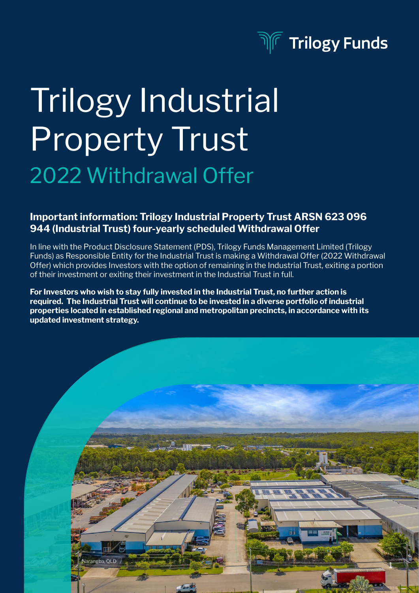

# Trilogy Industrial Property Trust 2022 Withdrawal Offer

#### Important information: Trilogy Industrial Property Trust ARSN 623 096 944 (Industrial Trust) four-yearly scheduled Withdrawal Offer

In line with the Product Disclosure Statement (PDS), Trilogy Funds Management Limited (Trilogy Funds) as Responsible Entity for the Industrial Trust is making a Withdrawal Offer (2022 Withdrawal Offer) which provides Investors with the option of remaining in the Industrial Trust, exiting a portion of their investment or exiting their investment in the Industrial Trust in full.

For Investors who wish to stay fully invested in the Industrial Trust, no further action is required. The Industrial Trust will continue to be invested in a diverse portfolio of industrial properties located in established regional and metropolitan precincts, in accordance with its updated investment strategy.

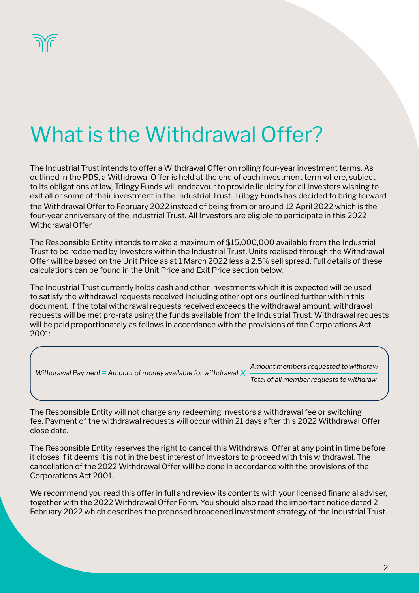

## What is the Withdrawal Offer?

The Industrial Trust intends to offer a Withdrawal Offer on rolling four-year investment terms. As outlined in the PDS, a Withdrawal Offer is held at the end of each investment term where, subject to its obligations at law, Trilogy Funds will endeavour to provide liquidity for all Investors wishing to exit all or some of their investment in the Industrial Trust. Trilogy Funds has decided to bring forward the Withdrawal Offer to February 2022 instead of being from or around 12 April 2022 which is the four-year anniversary of the Industrial Trust. All Investors are eligible to participate in this 2022 Withdrawal Offer.

The Responsible Entity intends to make a maximum of \$15,000,000 available from the Industrial Trust to be redeemed by Investors within the Industrial Trust. Units realised through the Withdrawal Offer will be based on the Unit Price as at 1 March 2022 less a 2.5% sell spread. Full details of these calculations can be found in the Unit Price and Exit Price section below.

The Industrial Trust currently holds cash and other investments which it is expected will be used to satisfy the withdrawal requests received including other options outlined further within this document. If the total withdrawal requests received exceeds the withdrawal amount, withdrawal requests will be met pro-rata using the funds available from the Industrial Trust. Withdrawal requests will be paid proportionately as follows in accordance with the provisions of the Corporations Act 2001:

*Withdrawal Payment* = Amount of money available for withdrawal  $\chi$  **Findem member requests to withdraw** *Total of all member requests to withdraw Amount members requested to withdraw*

The Responsible Entity will not charge any redeeming investors a withdrawal fee or switching fee. Payment of the withdrawal requests will occur within 21 days after this 2022 Withdrawal Offer close date.

The Responsible Entity reserves the right to cancel this Withdrawal Offer at any point in time before it closes if it deems it is not in the best interest of Investors to proceed with this withdrawal. The cancellation of the 2022 Withdrawal Offer will be done in accordance with the provisions of the Corporations Act 2001.

We recommend you read this offer in full and review its contents with your licensed financial adviser, together with the 2022 Withdrawal Offer Form. You should also read the important notice dated 2 February 2022 which describes the proposed broadened investment strategy of the Industrial Trust.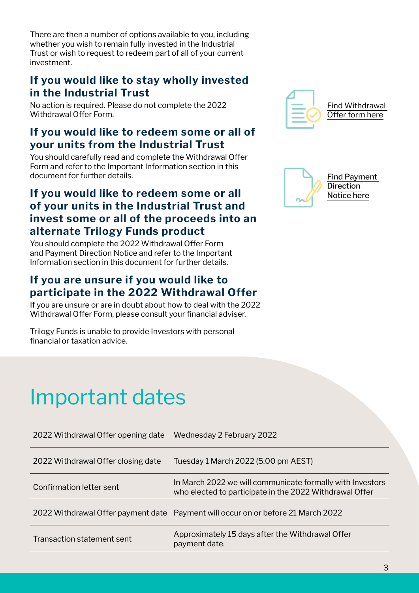There are then a number of options available to you, including whether you wish to remain fully invested in the Industrial Trust or wish to request to redeem part of all of your current investment.

### If you would like to stay wholly invested in the Industrial Trust

No action is required. Please do not complete the 2022 Withdrawal Offer Form.

### If you would like to redeem some or all of your units from the Industrial Trust

You should carefully read and complete the Withdrawal Offer Form and refer to the Important Information section in this document for further details.

### If you would like to redeem some or all of your units in the Industrial Trust and invest some or all of the proceeds into an alternate Trilogy Funds product

You should complete the 2022 Withdrawal Offer Form and Payment Direction Notice and refer to the Important Information section in this document for further details.

### If you are unsure if you would like to participate in the 2022 Withdrawal Offer

If you are unsure or are in doubt about how to deal with the 2022 Withdrawal Offer Form, please consult your financial adviser.

Trilogy Funds is unable to provide Investors with personal financial or taxation advice.

### Important dates

| 2022 Withdrawal Offer opening date | Wednesday 2 February 2022                                                                                            |
|------------------------------------|----------------------------------------------------------------------------------------------------------------------|
| 2022 Withdrawal Offer closing date | Tuesday 1 March 2022 (5.00 pm AEST)                                                                                  |
| Confirmation letter sent           | In March 2022 we will communicate formally with Investors<br>who elected to participate in the 2022 Withdrawal Offer |
|                                    | 2022 Withdrawal Offer payment date Payment will occur on or before 21 March 2022                                     |
| Transaction statement sent         | Approximately 15 days after the Withdrawal Offer<br>payment date.                                                    |



[Find Withdrawal](https://trilogyfunds.com.au/wp-content/uploads/2022/02/TIPT-Withdrawal-Form-2022.pdf)  [Offer form here](https://trilogyfunds.com.au/wp-content/uploads/2022/02/TIPT-Withdrawal-Form-2022.pdf)



[Find Payment](https://trilogyfunds.com.au/wp-content/uploads/2022/02/TIPT-Payment-Direction-Notice.pdf)  [Direction](https://trilogyfunds.com.au/wp-content/uploads/2022/02/TIPT-Payment-Direction-Notice.pdf)  [Notice here](https://trilogyfunds.com.au/wp-content/uploads/2022/02/TIPT-Payment-Direction-Notice.pdf)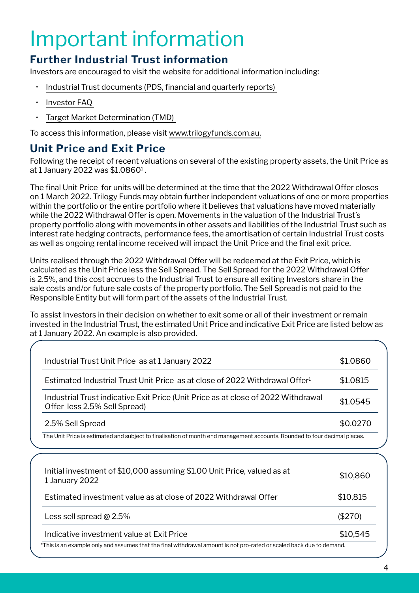## Important information

### Further Industrial Trust information

Investors are encouraged to visit the website for additional information including:

- [Industrial Trust documents \(PDS, financial and quarterly reports\)](https://trilogyfunds.com.au/wp-content/uploads/TIPT-PDS.pdf)
- [Investor FAQ](https://trilogyfunds.com.au/investing/trilogy-industrial-property-trust/#faqs-tipt)
- [Target Market Determination \(TMD\)](https://trilogyfunds.com.au/wp-content/uploads/2021/09/TIPT-TMD.pdf)

To access this information, please visit [www.trilogyfunds.com.au.](http://www.trilogyfunds.com.au.)

### Unit Price and Exit Price

Following the receipt of recent valuations on several of the existing property assets, the Unit Price as at 1 January 2022 was \$1.0860<sup>1</sup> .

The final Unit Price for units will be determined at the time that the 2022 Withdrawal Offer closes on 1 March 2022. Trilogy Funds may obtain further independent valuations of one or more properties within the portfolio or the entire portfolio where it believes that valuations have moved materially while the 2022 Withdrawal Offer is open. Movements in the valuation of the Industrial Trust's property portfolio along with movements in other assets and liabilities of the Industrial Trust such as interest rate hedging contracts, performance fees, the amortisation of certain Industrial Trust costs as well as ongoing rental income received will impact the Unit Price and the final exit price.

Units realised through the 2022 Withdrawal Offer will be redeemed at the Exit Price, which is calculated as the Unit Price less the Sell Spread. The Sell Spread for the 2022 Withdrawal Offer is 2.5%, and this cost accrues to the Industrial Trust to ensure all exiting Investors share in the sale costs and/or future sale costs of the property portfolio. The Sell Spread is not paid to the Responsible Entity but will form part of the assets of the Industrial Trust.

To assist Investors in their decision on whether to exit some or all of their investment or remain invested in the Industrial Trust, the estimated Unit Price and indicative Exit Price are listed below as at 1 January 2022. An example is also provided.

| Industrial Trust Unit Price as at 1 January 2022                                                                                       | \$1.0860 |
|----------------------------------------------------------------------------------------------------------------------------------------|----------|
| Estimated Industrial Trust Unit Price as at close of 2022 Withdrawal Offer <sup>1</sup>                                                | \$1.0815 |
| Industrial Trust indicative Exit Price (Unit Price as at close of 2022 Withdrawal<br>Offer less 2.5% Sell Spread)                      | \$1.0545 |
| 2.5% Sell Spread                                                                                                                       | \$0.0270 |
| <sup>1</sup> The Unit Price is estimated and subject to finalisation of month end management accounts. Rounded to four decimal places. |          |
|                                                                                                                                        |          |
|                                                                                                                                        |          |
| Initial investment of \$10,000 assuming \$1.00 Unit Price, valued as at<br>1 January 2022                                              | \$10,860 |
| Estimated investment value as at close of 2022 Withdrawal Offer                                                                        | \$10,815 |
| Less sell spread @ 2.5%                                                                                                                | (\$270)  |
| Indicative investment value at Exit Price                                                                                              | \$10,545 |